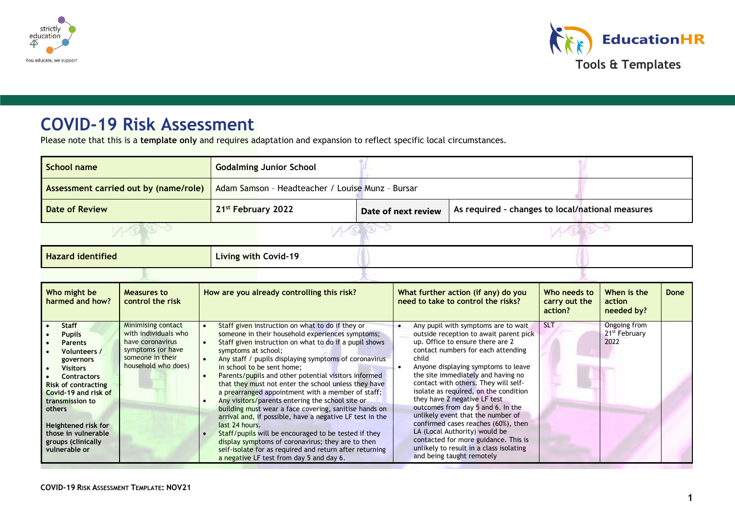



# **COVID-19 Risk Assessment**

Please note that this is a **template only** and requires adaptation and expansion to reflect specific local circumstances.

| School name                           | <b>Godalming Junior School</b> |                                                  |                                                  |  |  |  |  |  |
|---------------------------------------|--------------------------------|--------------------------------------------------|--------------------------------------------------|--|--|--|--|--|
| Assessment carried out by (name/role) |                                | Adam Samson - Headteacher / Louise Munz - Bursar |                                                  |  |  |  |  |  |
| <b>Date of Review</b>                 | 21 <sup>st</sup> February 2022 | Date of next review                              | As required - changes to local/national measures |  |  |  |  |  |
|                                       |                                |                                                  |                                                  |  |  |  |  |  |
| <b>Hazard identified</b>              | Living with Covid-19           |                                                  |                                                  |  |  |  |  |  |
|                                       |                                |                                                  |                                                  |  |  |  |  |  |

| Who might be<br>harmed and how?                                                                                                                                                                                                                                                                     | <b>Measures to</b><br>control the risk                                                                                                | How are you already controlling this risk?                                                                                                                                                                                                                                                                                                                                                                                                                                                                                                                                                                                                                                                                                                                                                                                                                       | What further action (if any) do you<br>need to take to control the risks?                                                                                                                                                                                                                                                                                                                                                                                                                                                                                                                                                        | Who needs to<br>carry out the<br>action? | When is the<br>action<br>needed by?               | Done |
|-----------------------------------------------------------------------------------------------------------------------------------------------------------------------------------------------------------------------------------------------------------------------------------------------------|---------------------------------------------------------------------------------------------------------------------------------------|------------------------------------------------------------------------------------------------------------------------------------------------------------------------------------------------------------------------------------------------------------------------------------------------------------------------------------------------------------------------------------------------------------------------------------------------------------------------------------------------------------------------------------------------------------------------------------------------------------------------------------------------------------------------------------------------------------------------------------------------------------------------------------------------------------------------------------------------------------------|----------------------------------------------------------------------------------------------------------------------------------------------------------------------------------------------------------------------------------------------------------------------------------------------------------------------------------------------------------------------------------------------------------------------------------------------------------------------------------------------------------------------------------------------------------------------------------------------------------------------------------|------------------------------------------|---------------------------------------------------|------|
| Staff<br>$\bullet$<br><b>Pupils</b><br><b>Parents</b><br>Volunteers /<br>governors<br><b>Visitors</b><br><b>Contractors</b><br><b>Risk of contracting</b><br>Covid-19 and risk of<br>transmission to<br>others<br>Heightened risk for<br>those in vulnerable<br>groups (clinically<br>vulnerable or | <b>Minimising contact</b><br>with individuals who<br>have coronavirus<br>symptoms (or have<br>someone in their<br>household who does) | Staff given instruction on what to do if they or<br>someone in their household experiences symptoms;<br>Staff given instruction on what to do if a pupil shows<br>symptoms at school;<br>Any staff / pupils displaying symptoms of coronavirus<br>in school to be sent home;<br>Parents/pupils and other potential visitors informed<br>that they must not enter the school unless they have<br>a prearranged appointment with a member of staff;<br>Any visitors/parents entering the school site or<br>building must wear a face covering, sanitise hands on<br>arrival and, if possible, have a negative LF test in the<br>last 24 hours.<br>Staff/pupils will be encouraged to be tested if they<br>display symptoms of coronavirus; they are to then<br>self-isolate for as required and return after returning<br>a negative LF test from day 5 and day 6. | Any pupil with symptoms are to wait<br>outside reception to await parent pick<br>up. Office to ensure there are 2<br>contact numbers for each attending<br>child<br>Anyone displaying symptoms to leave<br>the site immediately and having no<br>contact with others. They will self-<br>isolate as required, on the condition<br>they have 2 negative LF test<br>outcomes from day 5 and 6. In the<br>unlikely event that the number of<br>confirmed cases reaches (60%), then<br>LA (Local Authority) would be<br>contacted for more guidance. This is<br>unlikely to result in a class isolating<br>and being taught remotely | -SLT                                     | Ongoing from<br>21 <sup>st</sup> February<br>2022 |      |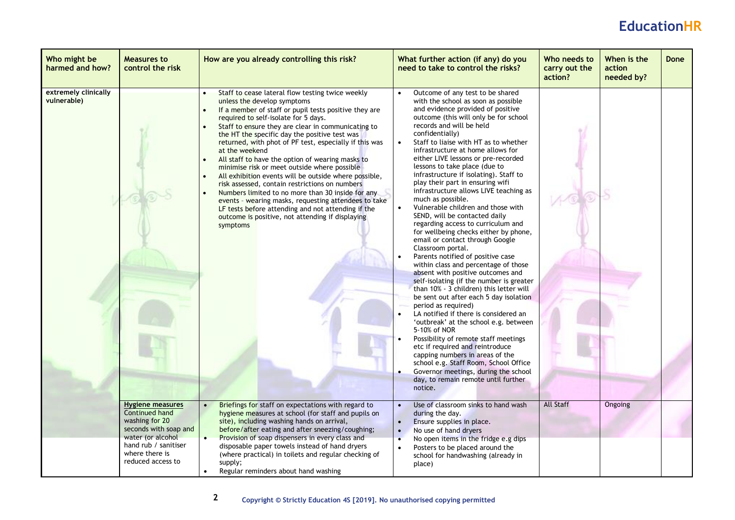| Who might be<br>harmed and how?     | <b>Measures to</b><br>control the risk                                                                    | How are you already controlling this risk?                                                                                                                                                                                                                                                                                                                                                                                                                                                                                                                                                                                                                                                                                                                                                                            | What further action (if any) do you<br>need to take to control the risks?                                                                                                                                                                                                                                                                                                                                                                                                                                                                                                                                                                                                                                                                                                                                                                                                                                                                                                                                                                                                                                                                                                                                                                                                                                                                          | Who needs to<br>carry out the<br>action? | When is the<br>action<br>needed by? | Done |
|-------------------------------------|-----------------------------------------------------------------------------------------------------------|-----------------------------------------------------------------------------------------------------------------------------------------------------------------------------------------------------------------------------------------------------------------------------------------------------------------------------------------------------------------------------------------------------------------------------------------------------------------------------------------------------------------------------------------------------------------------------------------------------------------------------------------------------------------------------------------------------------------------------------------------------------------------------------------------------------------------|----------------------------------------------------------------------------------------------------------------------------------------------------------------------------------------------------------------------------------------------------------------------------------------------------------------------------------------------------------------------------------------------------------------------------------------------------------------------------------------------------------------------------------------------------------------------------------------------------------------------------------------------------------------------------------------------------------------------------------------------------------------------------------------------------------------------------------------------------------------------------------------------------------------------------------------------------------------------------------------------------------------------------------------------------------------------------------------------------------------------------------------------------------------------------------------------------------------------------------------------------------------------------------------------------------------------------------------------------|------------------------------------------|-------------------------------------|------|
| extremely clinically<br>vulnerable) |                                                                                                           | Staff to cease lateral flow testing twice weekly<br>unless the develop symptoms<br>If a member of staff or pupil tests positive they are<br>required to self-isolate for 5 days.<br>Staff to ensure they are clear in communicating to<br>the HT the specific day the positive test was<br>returned, with phot of PF test, especially if this was<br>at the weekend<br>All staff to have the option of wearing masks to<br>minimise risk or meet outside where possible<br>All exhibition events will be outside where possible,<br>risk assessed, contain restrictions on numbers<br>Numbers limited to no more than 30 inside for any<br>events - wearing masks, requesting attendees to take<br>LF tests before attending and not attending if the<br>outcome is positive, not attending if displaying<br>symptoms | Outcome of any test to be shared<br>with the school as soon as possible<br>and evidence provided of positive<br>outcome (this will only be for school<br>records and will be held<br>confidentially)<br>Staff to liaise with HT as to whether<br>infrastructure at home allows for<br>either LIVE lessons or pre-recorded<br>lessons to take place (due to<br>infrastructure if isolating). Staff to<br>play their part in ensuring wifi<br>infrastructure allows LIVE teaching as<br>much as possible.<br>Vulnerable children and those with<br>SEND, will be contacted daily<br>regarding access to curriculum and<br>for wellbeing checks either by phone,<br>email or contact through Google<br>Classroom portal.<br>Parents notified of positive case<br>within class and percentage of those<br>absent with positive outcomes and<br>self-isolating (if the number is greater<br>than 10% - 3 children) this letter will<br>be sent out after each 5 day isolation<br>period as required)<br>LA notified if there is considered an<br>'outbreak' at the school e.g. between<br>5-10% of NOR<br>Possibility of remote staff meetings<br>etc if required and reintroduce<br>capping numbers in areas of the<br>school e.g. Staff Room, School Office<br>Governor meetings, during the school<br>day, to remain remote until further<br>notice. |                                          |                                     |      |
|                                     | <b>Hygiene measures</b><br>Continued hand<br>washing for 20<br>seconds with soap and<br>water (or alcohol | Briefings for staff on expectations with regard to<br>hygiene measures at school (for staff and pupils on<br>site), including washing hands on arrival,<br>before/after eating and after sneezing/coughing;<br>Provision of soap dispensers in every class and                                                                                                                                                                                                                                                                                                                                                                                                                                                                                                                                                        | Use of classroom sinks to hand wash<br>during the day.<br>Ensure supplies in place.<br>$\bullet$<br>$\bullet$<br>No use of hand dryers<br>No open items in the fridge e.g dips                                                                                                                                                                                                                                                                                                                                                                                                                                                                                                                                                                                                                                                                                                                                                                                                                                                                                                                                                                                                                                                                                                                                                                     | <b>All Staff</b>                         | Ongoing                             |      |
|                                     | hand rub / sanitiser<br>where there is<br>reduced access to                                               | disposable paper towels instead of hand dryers<br>(where practical) in toilets and regular checking of<br>supply;<br>Regular reminders about hand washing                                                                                                                                                                                                                                                                                                                                                                                                                                                                                                                                                                                                                                                             | Posters to be placed around the<br>$\bullet$<br>school for handwashing (already in<br>place)                                                                                                                                                                                                                                                                                                                                                                                                                                                                                                                                                                                                                                                                                                                                                                                                                                                                                                                                                                                                                                                                                                                                                                                                                                                       |                                          |                                     |      |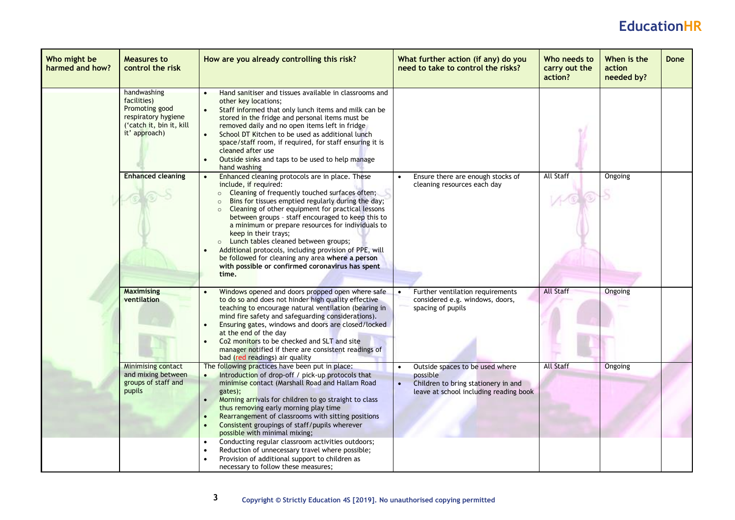| Who might be<br>harmed and how? | <b>Measures to</b><br>control the risk                                                                           | How are you already controlling this risk?                                                                                                                                                                                                                                                                                                                                                                                                                                                                                                                                                                                                 | What further action (if any) do you<br>need to take to control the risks?                                                    | Who needs to<br>carry out the<br>action? | When is the<br>action<br>needed by? | <b>Done</b> |
|---------------------------------|------------------------------------------------------------------------------------------------------------------|--------------------------------------------------------------------------------------------------------------------------------------------------------------------------------------------------------------------------------------------------------------------------------------------------------------------------------------------------------------------------------------------------------------------------------------------------------------------------------------------------------------------------------------------------------------------------------------------------------------------------------------------|------------------------------------------------------------------------------------------------------------------------------|------------------------------------------|-------------------------------------|-------------|
|                                 | handwashing<br>facilities)<br>Promoting good<br>respiratory hygiene<br>('catch it, bin it, kill<br>it' approach) | Hand sanitiser and tissues available in classrooms and<br>other key locations;<br>Staff informed that only lunch items and milk can be<br>stored in the fridge and personal items must be<br>removed daily and no open items left in fridge<br>School DT Kitchen to be used as additional lunch<br>$\bullet$<br>space/staff room, if required, for staff ensuring it is<br>cleaned after use<br>Outside sinks and taps to be used to help manage<br>$\bullet$<br>hand washing                                                                                                                                                              |                                                                                                                              |                                          |                                     |             |
|                                 | <b>Enhanced cleaning</b>                                                                                         | Enhanced cleaning protocols are in place. These<br>$\bullet$<br>include, if required:<br>Cleaning of frequently touched surfaces often;<br>$\circ$<br>Bins for tissues emptied regularly during the day;<br>$\circ$<br>Cleaning of other equipment for practical lessons<br>$\circ$<br>between groups - staff encouraged to keep this to<br>a minimum or prepare resources for individuals to<br>keep in their trays;<br>o Lunch tables cleaned between groups;<br>Additional protocols, including provision of PPE, will<br>be followed for cleaning any area where a person<br>with possible or confirmed coronavirus has spent<br>time. | Ensure there are enough stocks of<br>cleaning resources each day                                                             | All Staff                                | Ongoing                             |             |
|                                 | <b>Maximising</b><br>ventilation                                                                                 | Windows opened and doors propped open where safe<br>to do so and does not hinder high quality effective<br>teaching to encourage natural ventilation (bearing in<br>mind fire safety and safeguarding considerations).<br>Ensuring gates, windows and doors are closed/locked<br>at the end of the day<br>Co2 monitors to be checked and SLT and site<br>manager notified if there are consistent readings of<br>bad (red readings) air quality                                                                                                                                                                                            | Further ventilation requirements<br>considered e.g. windows, doors,<br>spacing of pupils                                     | <b>All Staff</b>                         | Ongoing                             |             |
|                                 | <b>Minimising contact</b><br>and mixing between<br>groups of staff and<br>pupils                                 | The following practices have been put in place:<br>Introduction of drop-off / pick-up protocols that<br>minimise contact (Marshall Road and Hallam Road<br>gates);<br>Morning arrivals for children to go straight to class<br>thus removing early morning play time<br>Rearrangement of classrooms with sitting positions<br>Consistent groupings of staff/pupils wherever<br>possible with minimal mixing;<br>Conducting regular classroom activities outdoors;<br>Reduction of unnecessary travel where possible;<br>Provision of additional support to children as<br>necessary to follow these measures;                              | Outside spaces to be used where<br>possible<br>Children to bring stationery in and<br>leave at school including reading book | <b>All Staff</b>                         | Ongoing                             |             |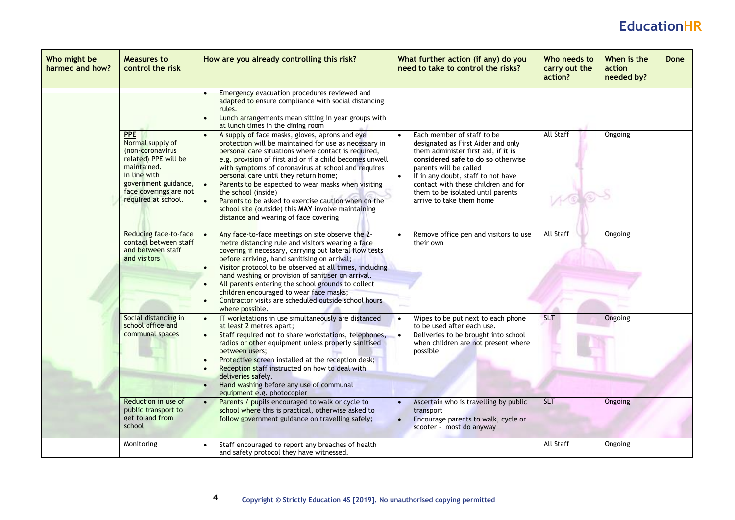| Who might be<br>harmed and how? | Measures to<br>control the risk                                                                                                                                                    | How are you already controlling this risk?                                                                                                                                                                                                                                                                                                                                                                                                                                                                                                                                 | What further action (if any) do you<br>need to take to control the risks?                                                                                                                                                                                                                                             | Who needs to<br>carry out the<br>action? | When is the<br>action<br>needed by? | Done |
|---------------------------------|------------------------------------------------------------------------------------------------------------------------------------------------------------------------------------|----------------------------------------------------------------------------------------------------------------------------------------------------------------------------------------------------------------------------------------------------------------------------------------------------------------------------------------------------------------------------------------------------------------------------------------------------------------------------------------------------------------------------------------------------------------------------|-----------------------------------------------------------------------------------------------------------------------------------------------------------------------------------------------------------------------------------------------------------------------------------------------------------------------|------------------------------------------|-------------------------------------|------|
|                                 |                                                                                                                                                                                    | Emergency evacuation procedures reviewed and<br>adapted to ensure compliance with social distancing<br>rules.<br>Lunch arrangements mean sitting in year groups with<br>at lunch times in the dining room                                                                                                                                                                                                                                                                                                                                                                  |                                                                                                                                                                                                                                                                                                                       |                                          |                                     |      |
|                                 | <b>PPE</b><br>Normal supply of<br>(non-coronavirus<br>related) PPE will be<br>maintained.<br>In line with<br>government guidance,<br>face coverings are not<br>required at school. | A supply of face masks, gloves, aprons and eye<br>protection will be maintained for use as necessary in<br>personal care situations where contact is required,<br>e.g. provision of first aid or if a child becomes unwell<br>with symptoms of coronavirus at school and requires<br>personal care until they return home;<br>Parents to be expected to wear masks when visiting<br>the school (inside)<br>$\bullet$<br>Parents to be asked to exercise caution when on the<br>school site (outside) this MAY involve maintaining<br>distance and wearing of face covering | Each member of staff to be<br>designated as First Aider and only<br>them administer first aid, if it is<br>considered safe to do so otherwise<br>parents will be called<br>If in any doubt, staff to not have<br>contact with these children and for<br>them to be isolated until parents<br>arrive to take them home | <b>All Staff</b>                         | Ongoing                             |      |
|                                 | Reducing face-to-face<br>contact between staff<br>and between staff<br>and visitors                                                                                                | Any face-to-face meetings on site observe the 2-<br>metre distancing rule and visitors wearing a face<br>covering if necessary, carrying out lateral flow tests<br>before arriving, hand sanitising on arrival;<br>Visitor protocol to be observed at all times, including<br>hand washing or provision of sanitiser on arrival.<br>All parents entering the school grounds to collect<br>children encouraged to wear face masks;<br>Contractor visits are scheduled outside school hours<br>where possible.                                                               | Remove office pen and visitors to use<br>their own                                                                                                                                                                                                                                                                    | All Staff                                | Ongoing                             |      |
|                                 | Social distancing in<br>school office and<br>communal spaces                                                                                                                       | IT workstations in use simultaneously are distanced<br>at least 2 metres apart;<br>Staff required not to share workstations, telephones,<br>$\bullet$<br>radios or other equipment unless properly sanitised<br>between users;<br>Protective screen installed at the reception desk;<br>Reception staff instructed on how to deal with<br>deliveries safely.<br>Hand washing before any use of communal<br>$\bullet$<br>equipment e.g. photocopier                                                                                                                         | Wipes to be put next to each phone<br>to be used after each use.<br>Deliveries to be brought into school<br>when children are not present where<br>possible                                                                                                                                                           | <b>SLT</b>                               | Ongoing                             |      |
|                                 | Reduction in use of<br>public transport to<br>get to and from<br>school                                                                                                            | Parents / pupils encouraged to walk or cycle to<br>$\bullet$<br>school where this is practical, otherwise asked to<br>follow government guidance on travelling safely;                                                                                                                                                                                                                                                                                                                                                                                                     | Ascertain who is travelling by public<br>transport<br>Encourage parents to walk, cycle or<br>scooter - most do anyway                                                                                                                                                                                                 | <b>SLT</b>                               | Ongoing                             |      |
|                                 | Monitoring                                                                                                                                                                         | Staff encouraged to report any breaches of health<br>and safety protocol they have witnessed.                                                                                                                                                                                                                                                                                                                                                                                                                                                                              |                                                                                                                                                                                                                                                                                                                       | <b>All Staff</b>                         | Ongoing                             |      |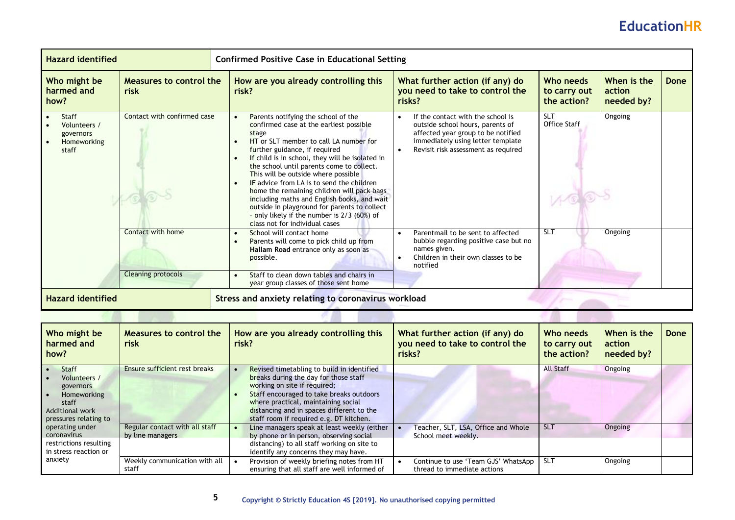| <b>Hazard identified</b><br><b>Confirmed Positive Case in Educational Setting</b> |                             |                                     |                                                                                                                                                                                                                                                                                                                                                                                                                                                                                                                                                                                      |  |                                                                                                                                                                                         |                                          |                                     |      |
|-----------------------------------------------------------------------------------|-----------------------------|-------------------------------------|--------------------------------------------------------------------------------------------------------------------------------------------------------------------------------------------------------------------------------------------------------------------------------------------------------------------------------------------------------------------------------------------------------------------------------------------------------------------------------------------------------------------------------------------------------------------------------------|--|-----------------------------------------------------------------------------------------------------------------------------------------------------------------------------------------|------------------------------------------|-------------------------------------|------|
| Who might be<br>Measures to control the<br>harmed and<br>risk<br>how?             |                             | risk?                               | How are you already controlling this                                                                                                                                                                                                                                                                                                                                                                                                                                                                                                                                                 |  | What further action (if any) do<br>you need to take to control the<br>risks?                                                                                                            | Who needs<br>to carry out<br>the action? | When is the<br>action<br>needed by? | Done |
| Staff<br>Volunteers /<br>governors<br>Homeworking<br>staff                        | Contact with confirmed case | $\bullet$<br>$\bullet$<br>$\bullet$ | Parents notifying the school of the<br>confirmed case at the earliest possible<br>stage<br>HT or SLT member to call LA number for<br>further guidance, if required<br>If child is in school, they will be isolated in<br>the school until parents come to collect.<br>This will be outside where possible<br>IF advice from LA is to send the children<br>home the remaining children will pack bags<br>including maths and English books, and wait<br>outside in playground for parents to collect<br>- only likely if the number is 2/3 (60%) of<br>class not for individual cases |  | If the contact with the school is<br>outside school hours, parents of<br>affected year group to be notified<br>immediately using letter template<br>Revisit risk assessment as required | <b>SLT</b><br><b>Office Staff</b>        | Ongoing                             |      |
|                                                                                   | Contact with home           | $\bullet$<br>$\bullet$              | School will contact home<br>Parents will come to pick child up from<br>Hallam Road entrance only as soon as<br>possible.                                                                                                                                                                                                                                                                                                                                                                                                                                                             |  | Parentmail to be sent to affected<br>bubble regarding positive case but no<br>names given.<br>Children in their own classes to be<br>notified                                           | <b>SLT</b>                               | Ongoing                             |      |
|                                                                                   | <b>Cleaning protocols</b>   | $\bullet$                           | Staff to clean down tables and chairs in<br>year group classes of those sent home                                                                                                                                                                                                                                                                                                                                                                                                                                                                                                    |  |                                                                                                                                                                                         |                                          |                                     |      |
| <b>Hazard identified</b>                                                          |                             |                                     | Stress and anxiety relating to coronavirus workload                                                                                                                                                                                                                                                                                                                                                                                                                                                                                                                                  |  |                                                                                                                                                                                         |                                          |                                     |      |

| Who might be<br>harmed and<br>how?                                                                                   | Measures to control the<br>risk                    | How are you already controlling this<br>risk?                                                                                                                                                                                                                                                  | What further action (if any) do<br>you need to take to control the<br>risks? | Who needs<br>to carry out<br>the action? | When is the<br>action<br>needed by? | Done |
|----------------------------------------------------------------------------------------------------------------------|----------------------------------------------------|------------------------------------------------------------------------------------------------------------------------------------------------------------------------------------------------------------------------------------------------------------------------------------------------|------------------------------------------------------------------------------|------------------------------------------|-------------------------------------|------|
| <b>Staff</b><br>Volunteers /<br>governors<br><b>Homeworking</b><br>staff<br>Additional work<br>pressures relating to | <b>Ensure sufficient rest breaks</b>               | Revised timetabling to build in identified<br>breaks during the day for those staff<br>working on site if required;<br>Staff encouraged to take breaks outdoors<br>where practical, maintaining social<br>distancing and in spaces different to the<br>staff room if required e.g. DT kitchen. |                                                                              | <b>All Staff</b>                         | Ongoing                             |      |
| operating under<br>coronavirus<br>restrictions resulting<br>in stress reaction or                                    | Regular contact with all staff<br>by line managers | Line managers speak at least weekly (either<br>by phone or in person, observing social<br>distancing) to all staff working on site to<br>identify any concerns they may have.                                                                                                                  | Teacher, SLT, LSA, Office and Whole<br>School meet weekly.                   | <b>SLT</b>                               | Ongoing                             |      |
| anxiety                                                                                                              | Weekly communication with all<br>staff             | Provision of weekly briefing notes from HT<br>ensuring that all staff are well informed of                                                                                                                                                                                                     | Continue to use 'Team GJS' WhatsApp<br>thread to immediate actions           | <b>SLT</b>                               | Ongoing                             |      |